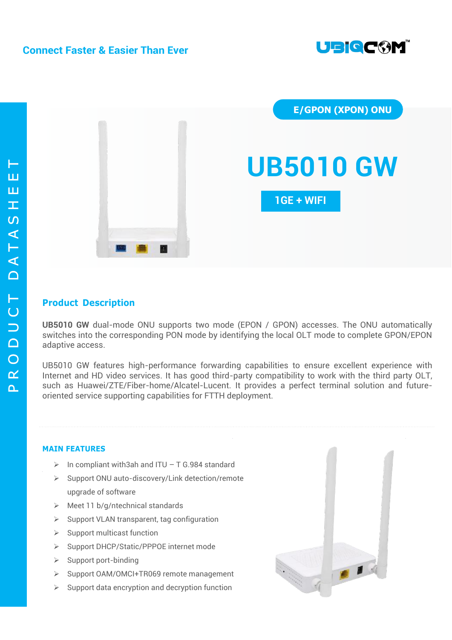



## **Product Description**

**UB5010 GW** dual-mode ONU supports two mode (EPON / GPON) accesses. The ONU automatically switches into the corresponding PON mode by identifying the local OLT mode to complete GPON/EPON adaptive access.

UB5010 GW features high-performance forwarding capabilities to ensure excellent experience with Internet and HD video services. It has good third-party compatibility to work with the third party OLT, such as Huawei/ZTE/Fiber-home/Alcatel-Lucent. It provides a perfect terminal solution and futureoriented service supporting capabilities for FTTH deployment.

### **MAIN FEATURES**

- $\triangleright$  In compliant with3ah and ITU T G.984 standard
- Support ONU auto-discovery/Link detection/remote upgrade of software
- $\triangleright$  Meet 11 b/g/ntechnical standards
- $\triangleright$  Support VLAN transparent, tag configuration
- $\triangleright$  Support multicast function
- Support DHCP/Static/PPPOE internet mode
- $\triangleright$  Support port-binding
- Support OAM/OMCI+TR069 remote management
- $\triangleright$  Support data encryption and decryption function